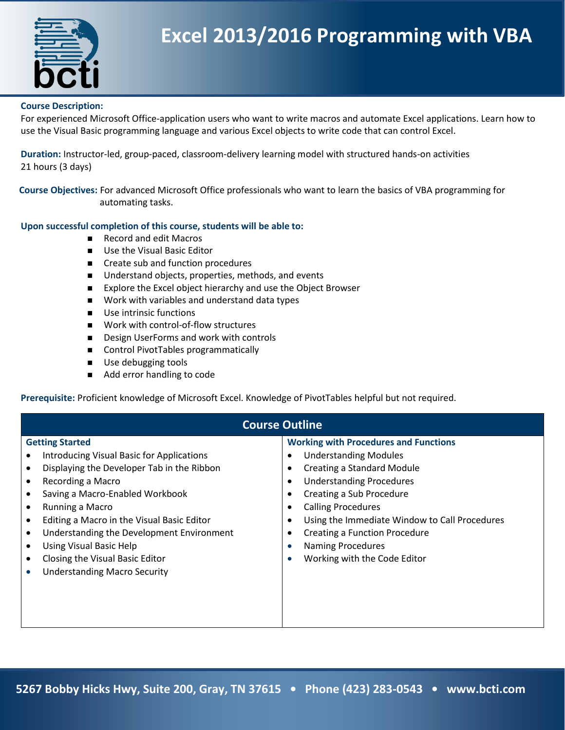

## **Excel 2013/2016 Programming with VBA**

## **Course Description:**

For experienced Microsoft Office-application users who want to write macros and automate Excel applications. Learn how to use the Visual Basic programming language and various Excel objects to write code that can control Excel.

**Duration:** Instructor-led, group-paced, classroom-delivery learning model with structured hands-on activities 21 hours (3 days)

**Course Objectives:** For advanced Microsoft Office professionals who want to learn the basics of VBA programming for automating tasks.

## **Upon successful completion of this course, students will be able to:**

- Record and edit Macros
- Use the Visual Basic Editor
- Create sub and function procedures
- Understand objects, properties, methods, and events
- Explore the Excel object hierarchy and use the Object Browser
- Work with variables and understand data types
- Use intrinsic functions
- Work with control-of-flow structures
- Design UserForms and work with controls
- Control PivotTables programmatically
- Use debugging tools
- Add error handling to code

**Prerequisite:** Proficient knowledge of Microsoft Excel. Knowledge of PivotTables helpful but not required.

| <b>Course Outline</b>                                                                                                                                                                                                                                                                                                                                                                       |                                                                                                                                                                                                                                                                                                                                                                                                       |
|---------------------------------------------------------------------------------------------------------------------------------------------------------------------------------------------------------------------------------------------------------------------------------------------------------------------------------------------------------------------------------------------|-------------------------------------------------------------------------------------------------------------------------------------------------------------------------------------------------------------------------------------------------------------------------------------------------------------------------------------------------------------------------------------------------------|
| <b>Getting Started</b>                                                                                                                                                                                                                                                                                                                                                                      | <b>Working with Procedures and Functions</b>                                                                                                                                                                                                                                                                                                                                                          |
| <b>Introducing Visual Basic for Applications</b><br>Displaying the Developer Tab in the Ribbon<br>Recording a Macro<br>Saving a Macro-Enabled Workbook<br>Running a Macro<br>Editing a Macro in the Visual Basic Editor<br>Understanding the Development Environment<br>٠<br>Using Visual Basic Help<br>Closing the Visual Basic Editor<br><b>Understanding Macro Security</b><br>$\bullet$ | <b>Understanding Modules</b><br><b>Creating a Standard Module</b><br>٠<br><b>Understanding Procedures</b><br>$\bullet$<br>Creating a Sub Procedure<br>$\bullet$<br><b>Calling Procedures</b><br>$\bullet$<br>Using the Immediate Window to Call Procedures<br>$\bullet$<br><b>Creating a Function Procedure</b><br><b>Naming Procedures</b><br>$\bullet$<br>Working with the Code Editor<br>$\bullet$ |
|                                                                                                                                                                                                                                                                                                                                                                                             |                                                                                                                                                                                                                                                                                                                                                                                                       |